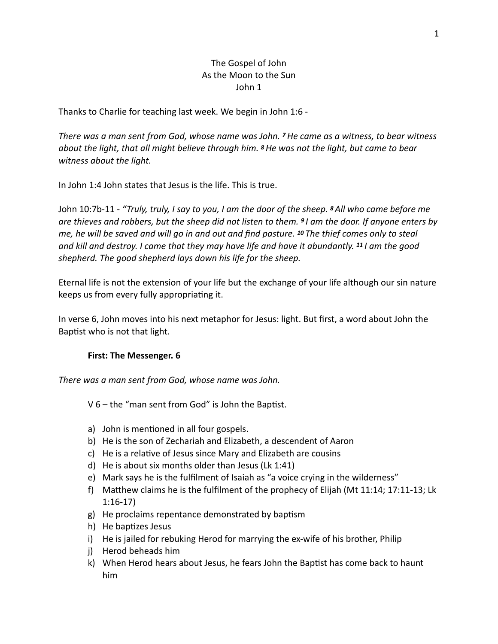# The Gospel of John As the Moon to the Sun John 1

Thanks to Charlie for teaching last week. We begin in John 1:6 -

*There was a man sent from God, whose name was John. 7 He came as a witness, to bear witness about the light, that all might believe through him. 8 He was not the light, but came to bear witness about the light.*

In John 1:4 John states that Jesus is the life. This is true.

John 10:7b-11 - *"Truly, truly, I say to you, I am the door of the sheep. 8 All who came before me are thieves and robbers, but the sheep did not listen to them. 9 I am the door. If anyone enters by me, he will be saved and will go in and out and find pasture. 10 The thief comes only to steal and kill and destroy. I came that they may have life and have it abundantly. 11 I am the good shepherd. The good shepherd lays down his life for the sheep.* 

Eternal life is not the extension of your life but the exchange of your life although our sin nature keeps us from every fully appropriating it.

In verse 6, John moves into his next metaphor for Jesus: light. But first, a word about John the Baptist who is not that light.

#### **First: The Messenger. 6**

*There was a man sent from God, whose name was John.*

 $V$  6 – the "man sent from God" is John the Baptist.

- a) John is mentioned in all four gospels.
- b) He is the son of Zechariah and Elizabeth, a descendent of Aaron
- c) He is a relative of Jesus since Mary and Elizabeth are cousins
- d) He is about six months older than Jesus (Lk 1:41)
- e) Mark says he is the fulfilment of Isaiah as "a voice crying in the wilderness"
- f) Matthew claims he is the fulfilment of the prophecy of Elijah (Mt 11:14; 17:11-13; Lk 1:16-17)
- $g$ ) He proclaims repentance demonstrated by baptism
- h) He baptizes Jesus
- i) He is jailed for rebuking Herod for marrying the ex-wife of his brother, Philip
- j) Herod beheads him
- k) When Herod hears about Jesus, he fears John the Baptist has come back to haunt him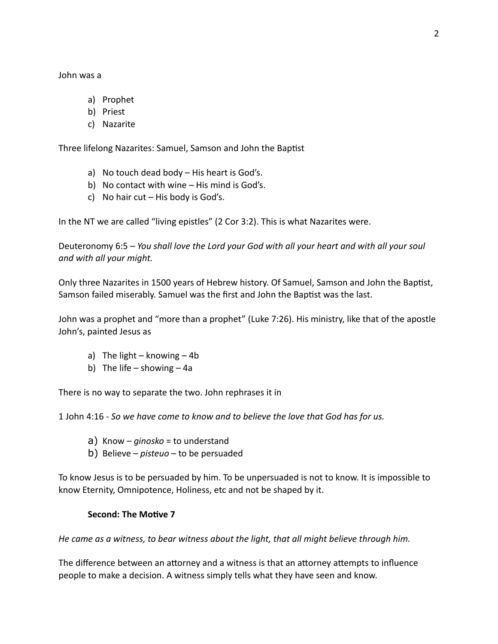John was a

- a) Prophet
- b) Priest
- c) Nazarite

Three lifelong Nazarites: Samuel, Samson and John the Baptist

- a) No touch dead body His heart is God's.
- b) No contact with wine His mind is God's.
- c) No hair cut  $-$  His body is God's.

In the NT we are called "living epistles" (2 Cor 3:2). This is what Nazarites were.

Deuteronomy 6:5 – *You shall love the Lord your God with all your heart and with all your soul and with all your might.* 

Only three Nazarites in 1500 years of Hebrew history. Of Samuel, Samson and John the Baptist, Samson failed miserably. Samuel was the first and John the Baptist was the last.

John was a prophet and "more than a prophet" (Luke 7:26). His ministry, like that of the apostle John's, painted Jesus as

- a) The light knowing 4b
- b) The life showing  $4a$

There is no way to separate the two. John rephrases it in

1 John 4:16 - *So we have come to know and to believe the love that God has for us.* 

- a) Know *ginosko* = to understand
- b) Believe *pisteuo* to be persuaded

To know Jesus is to be persuaded by him. To be unpersuaded is not to know. It is impossible to know Eternity, Omnipotence, Holiness, etc and not be shaped by it.

#### Second: The Motive 7

*He came as a witness, to bear witness about the light, that all might believe through him.* 

The difference between an attorney and a witness is that an attorney attempts to influence people to make a decision. A witness simply tells what they have seen and know.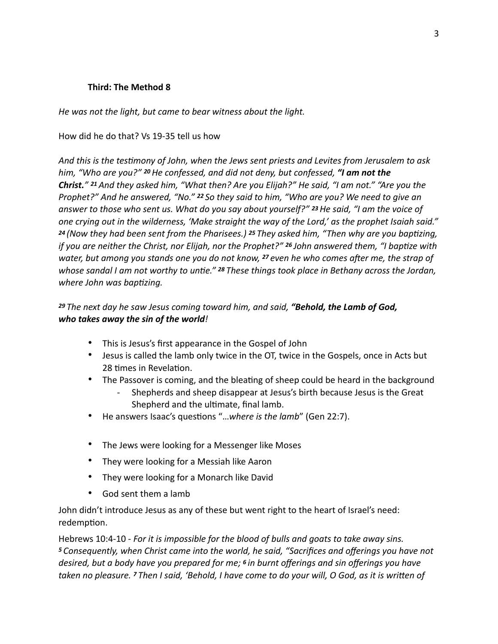## **Third: The Method 8**

*He was not the light, but came to bear witness about the light.* 

### How did he do that? Vs 19-35 tell us how

And this is the testimony of John, when the Jews sent priests and Levites from Jerusalem to ask *him, "Who are you?" 20 He confessed, and did not deny, but confessed, "I am not the Christ." 21 And they asked him, "What then? Are you Elijah?" He said, "I am not." "Are you the Prophet?" And he answered, "No." 22 So they said to him, "Who are you? We need to give an answer to those who sent us. What do you say about yourself?" 23 He said, "I am the voice of one crying out in the wilderness, 'Make straight the way of the Lord,' as the prophet Isaiah said." <sup>24</sup>(Now they had been sent from the Pharisees.) 25 They asked him, "Then why are you bapEzing, if you are neither the Christ, nor Elijah, nor the Prophet?" <sup>26</sup> John answered them, "I baptize with water, but among you stands one you do not know, 27 even he who comes aTer me, the strap of whose sandal I am not worthy to untie."* <sup>28</sup> *These things took place in Bethany across the Jordan, where John was baptizing.* 

# *<sup>29</sup>The next day he saw Jesus coming toward him, and said, "Behold, the Lamb of God, who takes away the sin of the world!*

- This is Jesus's first appearance in the Gospel of John
- Jesus is called the lamb only twice in the OT, twice in the Gospels, once in Acts but 28 times in Revelation.
- The Passover is coming, and the bleating of sheep could be heard in the background
	- Shepherds and sheep disappear at Jesus's birth because Jesus is the Great Shepherd and the ultimate, final lamb.
- He answers Isaac's questions "...where is the lamb" (Gen 22:7).
- The Jews were looking for a Messenger like Moses
- They were looking for a Messiah like Aaron
- They were looking for a Monarch like David
- God sent them a lamb

John didn't introduce Jesus as any of these but went right to the heart of Israel's need: redemption.

Hebrews 10:4-10 - *For it is impossible for the blood of bulls and goats to take away sins. <sup>5</sup>Consequently, when Christ came into the world, he said, "Sacrifices and offerings you have not desired, but a body have you prepared for me; 6 in burnt offerings and sin offerings you have taken no pleasure. 7* Then I said, 'Behold, I have come to do your will, O God, as it is written of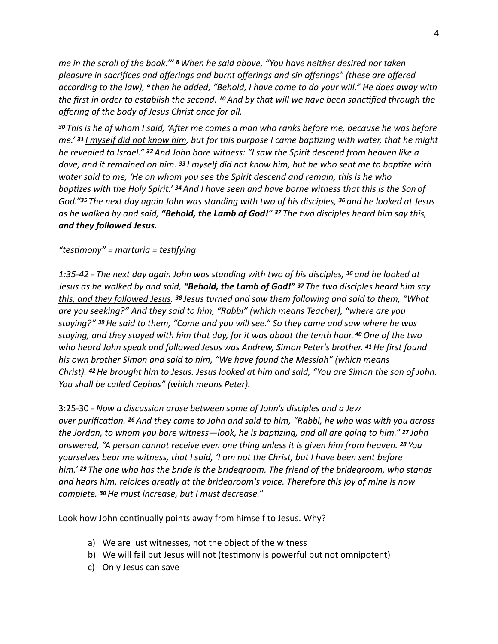*me in the scroll of the book.'" 8 When he said above, "You have neither desired nor taken pleasure in sacrifices and offerings and burnt offerings and sin offerings" (these are offered according to the law), 9 then he added, "Behold, I have come to do your will." He does away with the first in order to establish the second.* <sup>10</sup> And by that will we have been sanctified through the *offering of the body of Jesus Christ once for all.* 

*<sup>30</sup>This is he of whom I said, 'ATer me comes a man who ranks before me, because he was before me.'* **31** *I* myself did not know him, but for this purpose I came baptizing with water, that he might *be revealed to Israel." 32 And John bore witness: "I saw the Spirit descend from heaven like a dove, and it remained on him.* <sup>33</sup> *I myself did not know him, but he who sent me to baptize with water said to me, 'He on whom you see the Spirit descend and remain, this is he who baptizes with the Holy Spirit.' <sup>34</sup> And I have seen and have borne witness that this is the Son of God."35 The next day again John was standing with two of his disciples, 36 and he looked at Jesus as he walked by and said, "Behold, the Lamb of God!" 37 The two disciples heard him say this, and they followed Jesus.* 

## *"tesEmony" = marturia = tesEfying*

*1:35-42 - The next day again John was standing with two of his disciples, 36 and he looked at Jesus as he walked by and said, "Behold, the Lamb of God!" <sup>37</sup>The two disciples heard him say this, and they followed Jesus. 38 Jesus turned and saw them following and said to them, "What are you seeking?" And they said to him, "Rabbi" (which means Teacher), "where are you staying?" 39 He said to them, "Come and you will see." So they came and saw where he was staying, and they stayed with him that day, for it was about the tenth hour. 40 One of the two who heard John speak and followed Jesus was Andrew, Simon Peter's brother. 41 He first found his own brother Simon and said to him, "We have found the Messiah" (which means Christ). 42 He brought him to Jesus. Jesus looked at him and said, "You are Simon the son of John. You shall be called Cephas" (which means Peter).*

3:25-30 - *Now a discussion arose between some of John's disciples and a Jew over purificaEon. 26 And they came to John and said to him, "Rabbi, he who was with you across the Jordan, to whom you bore witness—look, he is baptizing, and all are going to him." <sup>27</sup> John answered, "A person cannot receive even one thing unless it is given him from heaven. 28 You yourselves bear me witness, that I said, 'I am not the Christ, but I have been sent before him.' 29 The one who has the bride is the bridegroom. The friend of the bridegroom, who stands and hears him, rejoices greatly at the bridegroom's voice. Therefore this joy of mine is now complete. 30 He must increase, but I must decrease."* 

Look how John continually points away from himself to Jesus. Why?

- a) We are just witnesses, not the object of the witness
- b) We will fail but Jesus will not (testimony is powerful but not omnipotent)
- c) Only Jesus can save